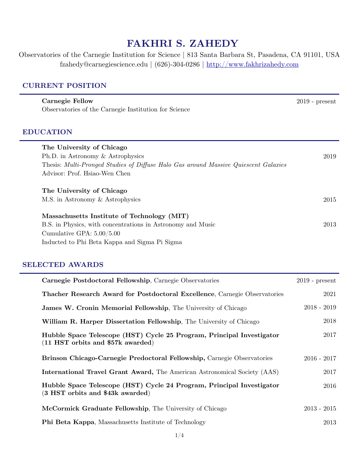# **FAKHRI S. ZAHEDY**

Observatories of the Carnegie Institution for Science | 813 Santa Barbara St, Pasadena, CA 91101, USA fzahedy@carnegiescience.edu | (626)-304-0286 |<http://www.fakhrizahedy.com>

## **CURRENT POSITION**

| <b>Carnegie Fellow</b><br>Observatories of the Carnegie Institution for Science     | $2019$ - present |
|-------------------------------------------------------------------------------------|------------------|
| <b>EDUCATION</b>                                                                    |                  |
| The University of Chicago                                                           |                  |
| Ph.D. in Astronomy $&$ Astrophysics                                                 | 2019             |
| Thesis: Multi-Pronged Studies of Diffuse Halo Gas around Massive Quiescent Galaxies |                  |
| Advisor: Prof. Hsiao-Wen Chen                                                       |                  |
| The University of Chicago                                                           |                  |
| M.S. in Astronomy & Astrophysics                                                    | 2015             |
| Massachusetts Institute of Technology (MIT)                                         |                  |
| B.S. in Physics, with concentrations in Astronomy and Music                         | 2013             |
| Cumulative GPA: $5.00/5.00$                                                         |                  |
| Inducted to Phi Beta Kappa and Sigma Pi Sigma                                       |                  |

# **SELECTED AWARDS**

| Carnegie Postdoctoral Fellowship, Carnegie Observatories                                                     | $2019$ - present |
|--------------------------------------------------------------------------------------------------------------|------------------|
| Thacher Research Award for Postdoctoral Excellence, Carnegie Observatories                                   | 2021             |
| <b>James W. Cronin Memorial Fellowship</b> , The University of Chicago                                       | $2018 - 2019$    |
| William R. Harper Dissertation Fellowship, The University of Chicago                                         | 2018             |
| Hubble Space Telescope (HST) Cycle 25 Program, Principal Investigator<br>$(11$ HST orbits and \$57k awarded) | 2017             |
| Brinson Chicago-Carnegie Predoctoral Fellowship, Carnegie Observatories                                      | $2016 - 2017$    |
| <b>International Travel Grant Award, The American Astronomical Society (AAS)</b>                             | 2017             |
| Hubble Space Telescope (HST) Cycle 24 Program, Principal Investigator<br>(3 HST orbits and \$43k awarded)    | 2016             |
| McCormick Graduate Fellowship, The University of Chicago                                                     | $2013 - 2015$    |
| <b>Phi Beta Kappa, Massachusetts Institute of Technology</b>                                                 | 2013             |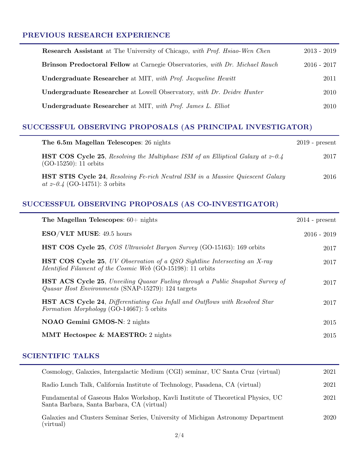### **PREVIOUS RESEARCH EXPERIENCE**

| <b>Research Assistant</b> at The University of Chicago, with Prof. Hsiao-Wen Chen | $2013 - 2019$ |
|-----------------------------------------------------------------------------------|---------------|
| Brinson Predoctoral Fellow at Carnegie Observatories, with Dr. Michael Rauch      | $2016 - 2017$ |
| Undergraduate Researcher at MIT, with Prof. Jacqueline Hewitt                     | 2011          |
| <b>Undergraduate Researcher</b> at Lowell Observatory, with Dr. Deidre Hunter     | 2010          |
| Undergraduate Researcher at MIT, with Prof. James L. Elliot                       | 2010          |

# **SUCCESSFUL OBSERVING PROPOSALS (AS PRINCIPAL INVESTIGATOR)**

| The 6.5m Magellan Telescopes: 26 nights                                                                                              | $2019$ - present |
|--------------------------------------------------------------------------------------------------------------------------------------|------------------|
| <b>HST COS Cycle 25</b> , Resolving the Multiphase ISM of an Elliptical Galaxy at $z\text{-}0.4$<br>$(GO-15250)$ : 11 orbits         | 2017             |
| <b>HST STIS Cycle 24, Resolving Fe-rich Neutral ISM in a Massive Quiescent Galaxy</b><br><i>at</i> $z \sim 0.4$ (GO-14751): 3 orbits | 2016             |

# **SUCCESSFUL OBSERVING PROPOSALS (AS CO-INVESTIGATOR)**

| The Magellan Telescopes: $60+$ nights                                                                                                                  | $2014$ - present |
|--------------------------------------------------------------------------------------------------------------------------------------------------------|------------------|
| <b>ESO/VLT MUSE:</b> 49.5 hours                                                                                                                        | $2016 - 2019$    |
| <b>HST COS Cycle 25, COS Ultraviolet Baryon Survey (GO-15163): 169 orbits</b>                                                                          | 2017             |
| <b>HST COS Cycle 25,</b> UV Observation of a QSO Sightline Intersecting an X-ray<br><i>Identified Filament of the Cosmic Web</i> (GO-15198): 11 orbits | 2017             |
| <b>HST ACS Cycle 25, Unveiling Quasar Fueling through a Public Snapshot Survey of</b><br>Quasar Host Environments (SNAP-15279): 124 targets            | 2017             |
| <b>HST ACS Cycle 24</b> , Differentiating Gas Infall and Outflows with Resolved Star<br><i>Formation Morphology</i> (GO-14667): 5 orbits               | 2017             |
| <b>NOAO Gemini GMOS-N:</b> 2 nights                                                                                                                    | 2015             |
| <b>MMT Hectospec &amp; MAESTRO:</b> 2 nights                                                                                                           | 2015             |

## **SCIENTIFIC TALKS**

| Cosmology, Galaxies, Intergalactic Medium (CGI) seminar, UC Santa Cruz (virtual)                                                | 2021 |
|---------------------------------------------------------------------------------------------------------------------------------|------|
| Radio Lunch Talk, California Institute of Technology, Pasadena, CA (virtual)                                                    | 2021 |
| Fundamental of Gaseous Halos Workshop, Kavli Institute of Theoretical Physics, UC<br>Santa Barbara, Santa Barbara, CA (virtual) | 2021 |
| Galaxies and Clusters Seminar Series, University of Michigan Astronomy Department<br>(virtual)                                  | 2020 |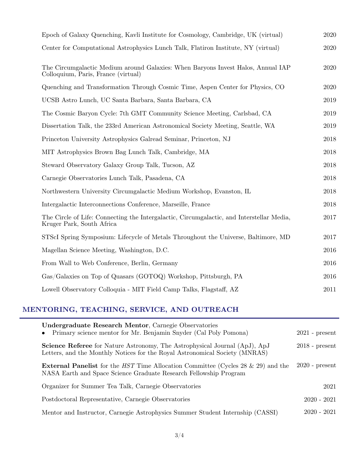| Epoch of Galaxy Quenching, Kavli Institute for Cosmology, Cambridge, UK (virtual)                                       | 2020 |
|-------------------------------------------------------------------------------------------------------------------------|------|
| Center for Computational Astrophysics Lunch Talk, Flatiron Institute, NY (virtual)                                      | 2020 |
| The Circumgalactic Medium around Galaxies: When Baryons Invest Halos, Annual IAP<br>Colloquium, Paris, France (virtual) | 2020 |
| Quenching and Transformation Through Cosmic Time, Aspen Center for Physics, CO                                          | 2020 |
| UCSB Astro Lunch, UC Santa Barbara, Santa Barbara, CA                                                                   | 2019 |
| The Cosmic Baryon Cycle: 7th GMT Community Science Meeting, Carlsbad, CA                                                | 2019 |
| Dissertation Talk, the 233rd American Astronomical Society Meeting, Seattle, WA                                         | 2019 |
| Princeton University Astrophysics Galread Seminar, Princeton, NJ                                                        | 2018 |
| MIT Astrophysics Brown Bag Lunch Talk, Cambridge, MA                                                                    | 2018 |
| Steward Observatory Galaxy Group Talk, Tucson, AZ                                                                       | 2018 |
| Carnegie Observatories Lunch Talk, Pasadena, CA                                                                         | 2018 |
| Northwestern University Circumgalactic Medium Workshop, Evanston, IL                                                    | 2018 |
| Intergalactic Interconnections Conference, Marseille, France                                                            | 2018 |
| The Circle of Life: Connecting the Intergalactic, Circumgalactic, and Interstellar Media,<br>Kruger Park, South Africa  | 2017 |
| STScI Spring Symposium: Lifecycle of Metals Throughout the Universe, Baltimore, MD                                      | 2017 |
| Magellan Science Meeting, Washington, D.C.                                                                              | 2016 |
| From Wall to Web Conference, Berlin, Germany                                                                            | 2016 |
| Gas/Galaxies on Top of Quasars (GOTOQ) Workshop, Pittsburgh, PA                                                         | 2016 |
| Lowell Observatory Colloquia - MIT Field Camp Talks, Flagstaff, AZ                                                      | 2011 |

# **MENTORING, TEACHING, SERVICE, AND OUTREACH**

| Undergraduate Research Mentor, Carnegie Observatories<br>Primary science mentor for Mr. Benjamin Snyder (Cal Poly Pomona)                                              | $2021$ - present |
|------------------------------------------------------------------------------------------------------------------------------------------------------------------------|------------------|
| <b>Science Referee</b> for Nature Astronomy, The Astrophysical Journal (ApJ), ApJ<br>Letters, and the Monthly Notices for the Royal Astronomical Society (MNRAS)       | $2018$ - present |
| <b>External Panelist</b> for the <i>HST</i> Time Allocation Committee (Cycles 28 $\&$ 29) and the<br>NASA Earth and Space Science Graduate Research Fellowship Program | $2020$ - present |
| Organizer for Summer Tea Talk, Carnegie Observatories                                                                                                                  | 2021             |
| Postdoctoral Representative, Carnegie Observatories                                                                                                                    | $2020 - 2021$    |
| Mentor and Instructor, Carnegie Astrophysics Summer Student Internship (CASSI)                                                                                         | $2020 - 2021$    |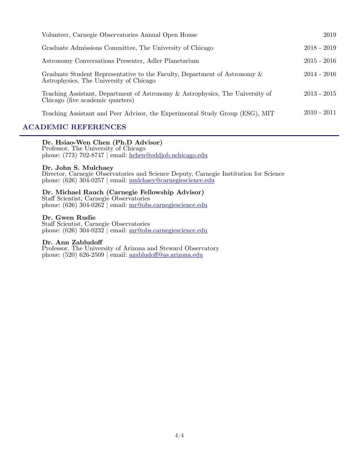| Volunteer, Carnegie Observatories Annual Open House                                                                  | 2019          |
|----------------------------------------------------------------------------------------------------------------------|---------------|
| Graduate Admissions Committee, The University of Chicago                                                             | $2018 - 2019$ |
| Astronomy Conversations Presenter, Adler Planetarium                                                                 | $2015 - 2016$ |
| Graduate Student Representative to the Faculty, Department of Astronomy &<br>Astrophysics, The University of Chicago | $2014 - 2016$ |
| Teaching Assistant, Department of Astronomy & Astrophysics, The University of<br>Chicago (five academic quarters)    | $2013 - 2015$ |
| Teaching Assistant and Peer Advisor, the Experimental Study Group (ESG), MIT                                         | $2010 - 2011$ |

## **ACADEMIC REFERENCES**

#### **Dr. Hsiao-Wen Chen (Ph.D Advisor)**

 Professor, The University of Chicago phone: (773) 702-8747 | email: [hchen@oddjob.uchicago.edu](mailto:hchen@oddjob.uchicago.edu)

#### **Dr. John S. Mulchaey**

 Director, Carnegie Observatories and Science Deputy, Carnegie Institution for Science phone: (626) 304-0257 | email: [mulchaey@carnegiescience.edu](mailto:mulchaey@carnegiescience.edu)

# **Dr. Michael Rauch (Carnegie Fellowship Advisor)** Staff Scientist, Carnegie Observatories

phone:  $(626)$  304-0262 | email:  $\text{mr@obs.carnegiescience.edu}$ 

#### **Dr. Gwen Rudie**

 Staff Scientist, Carnegie Observatories phone: (626) 304-0232 | email: [mr@obs.carnegiescience.edu](mailto:mr@obs.carnegiescience.edu)

#### **Dr. Ann Zabludoff**

 Professor, The University of Arizona and Steward Observatory phone: (520) 626-2509 | email: azabludoff[@as.arizona.edu](mailto:azabludoff@as.arizona.edu)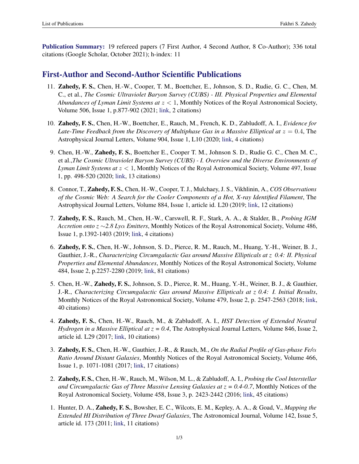Publication Summary: 19 refereed papers (7 First Author, 4 Second Author, 8 Co-Author); 336 total citations (Google Scholar, October 2021); h-index: 11

## First-Author and Second-Author Scientific Publications

- 11. Zahedy, F. S., Chen, H.-W., Cooper, T. M., Boettcher, E., Johnson, S. D., Rudie, G. C., Chen, M. C., et al., *The Cosmic Ultraviolet Baryon Survey (CUBS) - III. Physical Properties and Elemental Abundances of Lyman Limit Systems at z <* 1, Monthly Notices of the Royal Astronomical Society, Volume 506, Issue 1, p.877-902 (2021; [link,](https://ui.adsabs.harvard.edu/abs/2021MNRAS.tmp.1525Z/abstract) 2 citations)
- 10. Zahedy, F. S., Chen, H.-W., Boettcher, E., Rauch, M., French, K. D., Zabludoff, A. I., *Evidence for Late-Time Feedback from the Discovery of Multiphase Gas in a Massive Elliptical at*  $z = 0.4$ , The Astrophysical Journal Letters, Volume 904, Issue 1, L10 (2020; [link,](https://ui.adsabs.harvard.edu/abs/2020ApJ...904L..10Z/abstract) 4 citations)
- 9. Chen, H.-W., Zahedy, F. S., Boettcher E., Cooper T. M., Johnson S. D., Rudie G. C., Chen M. C., et al.,*The Cosmic Ultraviolet Baryon Survey (CUBS) - I. Overview and the Diverse Environments of Lyman Limit Systems at z <* 1, Monthly Notices of the Royal Astronomical Society, Volume 497, Issue 1, pp. 498-520 (2020; [link,](https://academic.oup.com/mnras/article/497/1/498/5859973) 13 citations)
- 8. Connor, T., Zahedy, F. S., Chen, H.-W., Cooper, T. J., Mulchaey, J. S., Vikhlinin, A., *COS Observations of the Cosmic Web: A Search for the Cooler Components of a Hot, X-ray Identified Filament*, The Astrophysical Journal Letters, Volume 884, Issue 1, article id. L20 (2019; [link,](https://iopscience.iop.org/article/10.3847/2041-8213/ab45f5) 12 citations)
- 7. Zahedy, F. S., Rauch, M., Chen, H.-W., Carswell, R. F., Stark, A. A., & Stalder, B., *Probing IGM Accretion onto*  $z \sim 2.8$  *Ly* $\alpha$  *Emitters, Monthly Notices of the Royal Astronomical Society, Volume 486,* Issue 1, p.1392-1403 (2019; [link,](https://academic.oup.com/mnras/article/486/1/1392/5420448) 4 citations)
- 6. Zahedy, F. S., Chen, H.-W., Johnson, S. D., Pierce, R. M., Rauch, M., Huang, Y.-H., Weiner, B. J., Gauthier, J.-R., *Characterizing Circumgalactic Gas around Massive Ellipticals at z 0.4: II. Physical Properties and Elemental Abundances*, Monthly Notices of the Royal Astronomical Society, Volume 484, Issue 2, p.2257-2280 (2019; [link,](https://academic.oup.com/mnras/article/484/2/2257/5256659) 81 citations)
- 5. Chen, H.-W., Zahedy, F. S., Johnson, S. D., Pierce, R. M., Huang, Y.-H., Weiner, B. J., & Gauthier, J.-R., *Characterizing Circumgalactic Gas around Massive Ellipticals at z 0.4: I. Initial Results*, Monthly Notices of the Royal Astronomical Society, Volume 479, Issue 2, p. 2547-2563 (2018; [link,](http://academic.oup.com/mnras/article/479/2/2547/5035848) 40 citations)
- 4. Zahedy, F. S., Chen, H.-W., Rauch, M., & Zabludoff, A. I., *HST Detection of Extended Neutral Hydrogen in a Massive Elliptical at z = 0.4*, The Astrophysical Journal Letters, Volume 846, Issue 2, article id. L29 (2017; [link,](http://iopscience.iop.org/article/10.3847/2041-8213/aa88a2/meta) 10 citations)
- 3. **Zahedy, F. S.**, Chen, H.-W., Gauthier, J.-R., & Rauch, M., *On the Radial Profile of Gas-phase Fe/* $\alpha$ *Ratio Around Distant Galaxies*, Monthly Notices of the Royal Astronomical Society, Volume 466, Issue 1, p. 1071-1081 (2017; [link,](http://academic.oup.com/mnras/article/466/1/1071/2627208) 17 citations)
- 2. Zahedy, F. S., Chen, H.-W., Rauch, M., Wilson, M. L., & Zabludoff, A. I., *Probing the Cool Interstellar and Circumgalactic Gas of Three Massive Lensing Galaxies at z = 0.4-0.7*, Monthly Notices of the Royal Astronomical Society, Volume 458, Issue 3, p. 2423-2442 (2016; [link,](http://academic.oup.com/mnras/article/458/3/2423/2589311) 45 citations)
- 1. Hunter, D. A., Zahedy, F. S., Bowsher, E. C., Wilcots, E. M., Kepley, A. A., & Goad, V., *Mapping the Extended HI Distribution of Three Dwarf Galaxies*, The Astronomical Journal, Volume 142, Issue 5, article id. 173 (2011; [link,](http://iopscience.iop.org/article/10.1088/0004-6256/142/5/173/meta) 11 citations)